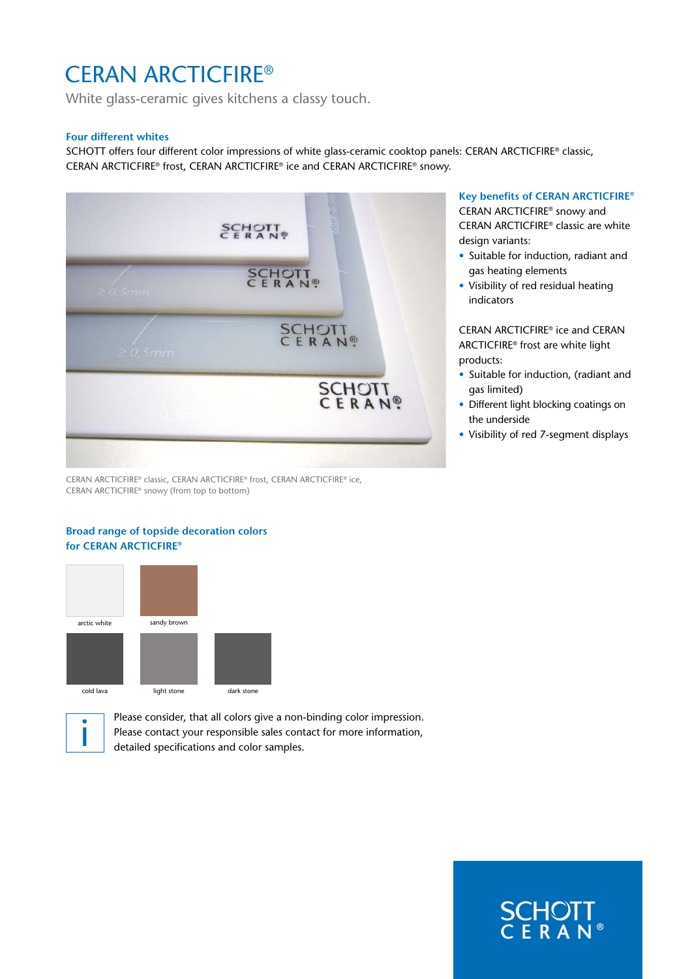# CERAN ARCTICFIRE®

White glass-ceramic gives kitchens a classy touch.

#### **Four different whites**

SCHOTT offers four different color impressions of white glass-ceramic cooktop panels: CERAN ARCTICFIRE® classic, CERAN ARCTICFIRE® frost, CERAN ARCTICFIRE® ice and CERAN ARCTICFIRE® snowy.



CERAN ARCTICFIRE® classic, CERAN ARCTICFIRE® frost, CERAN ARCTICFIRE® ice, CERAN ARCTICFIRE® snowy (from top to bottom)

### **Broad range of topside decoration colors for CERAN ARCTICFIRE®**



Please consider, that all colors give a non-binding color impression. Please contact your responsible sales contact for more information, detailed specifications and color samples.

## **Key benefits of CERAN ARCTICFIRE®**

CERAN ARCTICFIRE® snowy and CERAN ARCTICFIRE® classic are white design variants:

- Suitable for induction, radiant and gas heating elements
- Visibility of red residual heating indicators

CERAN ARCTICFIRE® ice and CERAN ARCTICFIRE® frost are white light products:

- Suitable for induction, (radiant and gas limited)
- Different light blocking coatings on the underside
- Visibility of red 7-segment displays